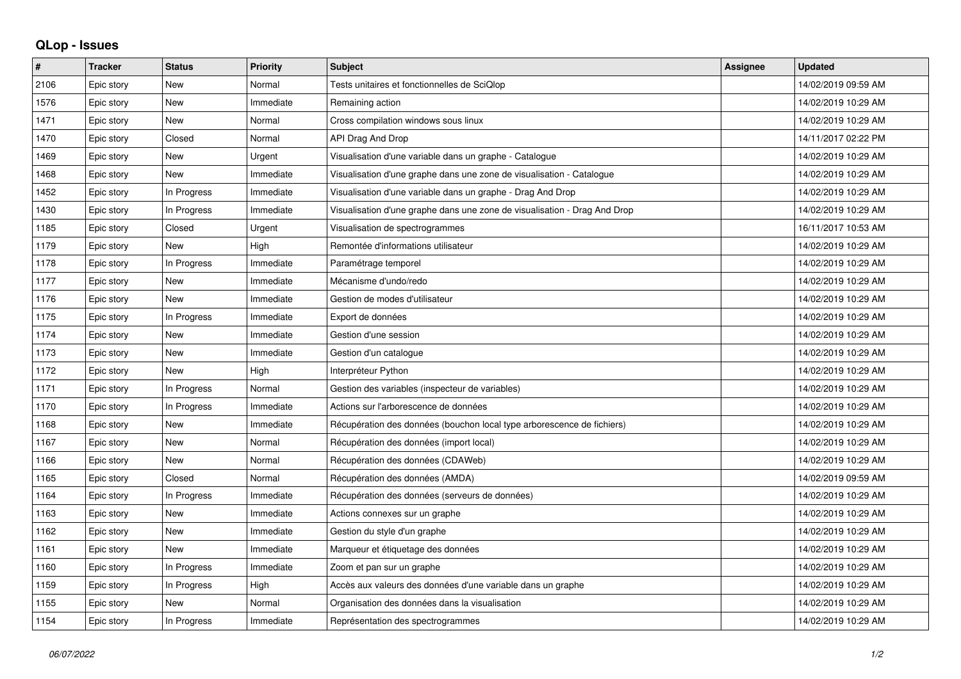## **QLop - Issues**

| #    | <b>Tracker</b> | <b>Status</b> | <b>Priority</b> | <b>Subject</b>                                                            | <b>Assignee</b> | <b>Updated</b>      |
|------|----------------|---------------|-----------------|---------------------------------------------------------------------------|-----------------|---------------------|
| 2106 | Epic story     | <b>New</b>    | Normal          | Tests unitaires et fonctionnelles de SciQlop                              |                 | 14/02/2019 09:59 AM |
| 1576 | Epic story     | <b>New</b>    | Immediate       | Remaining action                                                          |                 | 14/02/2019 10:29 AM |
| 1471 | Epic story     | <b>New</b>    | Normal          | Cross compilation windows sous linux                                      |                 | 14/02/2019 10:29 AM |
| 1470 | Epic story     | Closed        | Normal          | API Drag And Drop                                                         |                 | 14/11/2017 02:22 PM |
| 1469 | Epic story     | <b>New</b>    | Urgent          | Visualisation d'une variable dans un graphe - Catalogue                   |                 | 14/02/2019 10:29 AM |
| 1468 | Epic story     | <b>New</b>    | Immediate       | Visualisation d'une graphe dans une zone de visualisation - Catalogue     |                 | 14/02/2019 10:29 AM |
| 1452 | Epic story     | In Progress   | Immediate       | Visualisation d'une variable dans un graphe - Drag And Drop               |                 | 14/02/2019 10:29 AM |
| 1430 | Epic story     | In Progress   | Immediate       | Visualisation d'une graphe dans une zone de visualisation - Drag And Drop |                 | 14/02/2019 10:29 AM |
| 1185 | Epic story     | Closed        | Urgent          | Visualisation de spectrogrammes                                           |                 | 16/11/2017 10:53 AM |
| 1179 | Epic story     | <b>New</b>    | High            | Remontée d'informations utilisateur                                       |                 | 14/02/2019 10:29 AM |
| 1178 | Epic story     | In Progress   | Immediate       | Paramétrage temporel                                                      |                 | 14/02/2019 10:29 AM |
| 1177 | Epic story     | <b>New</b>    | Immediate       | Mécanisme d'undo/redo                                                     |                 | 14/02/2019 10:29 AM |
| 1176 | Epic story     | <b>New</b>    | Immediate       | Gestion de modes d'utilisateur                                            |                 | 14/02/2019 10:29 AM |
| 1175 | Epic story     | In Progress   | Immediate       | Export de données                                                         |                 | 14/02/2019 10:29 AM |
| 1174 | Epic story     | <b>New</b>    | Immediate       | Gestion d'une session                                                     |                 | 14/02/2019 10:29 AM |
| 1173 | Epic story     | <b>New</b>    | Immediate       | Gestion d'un catalogue                                                    |                 | 14/02/2019 10:29 AM |
| 1172 | Epic story     | <b>New</b>    | High            | Interpréteur Python                                                       |                 | 14/02/2019 10:29 AM |
| 1171 | Epic story     | In Progress   | Normal          | Gestion des variables (inspecteur de variables)                           |                 | 14/02/2019 10:29 AM |
| 1170 | Epic story     | In Progress   | Immediate       | Actions sur l'arborescence de données                                     |                 | 14/02/2019 10:29 AM |
| 1168 | Epic story     | <b>New</b>    | Immediate       | Récupération des données (bouchon local type arborescence de fichiers)    |                 | 14/02/2019 10:29 AM |
| 1167 | Epic story     | <b>New</b>    | Normal          | Récupération des données (import local)                                   |                 | 14/02/2019 10:29 AM |
| 1166 | Epic story     | <b>New</b>    | Normal          | Récupération des données (CDAWeb)                                         |                 | 14/02/2019 10:29 AM |
| 1165 | Epic story     | Closed        | Normal          | Récupération des données (AMDA)                                           |                 | 14/02/2019 09:59 AM |
| 1164 | Epic story     | In Progress   | Immediate       | Récupération des données (serveurs de données)                            |                 | 14/02/2019 10:29 AM |
| 1163 | Epic story     | <b>New</b>    | Immediate       | Actions connexes sur un graphe                                            |                 | 14/02/2019 10:29 AM |
| 1162 | Epic story     | <b>New</b>    | Immediate       | Gestion du style d'un graphe                                              |                 | 14/02/2019 10:29 AM |
| 1161 | Epic story     | <b>New</b>    | Immediate       | Marqueur et étiquetage des données                                        |                 | 14/02/2019 10:29 AM |
| 1160 | Epic story     | In Progress   | Immediate       | Zoom et pan sur un graphe                                                 |                 | 14/02/2019 10:29 AM |
| 1159 | Epic story     | In Progress   | High            | Accès aux valeurs des données d'une variable dans un graphe               |                 | 14/02/2019 10:29 AM |
| 1155 | Epic story     | <b>New</b>    | Normal          | Organisation des données dans la visualisation                            |                 | 14/02/2019 10:29 AM |
| 1154 | Epic story     | In Progress   | Immediate       | Représentation des spectrogrammes                                         |                 | 14/02/2019 10:29 AM |